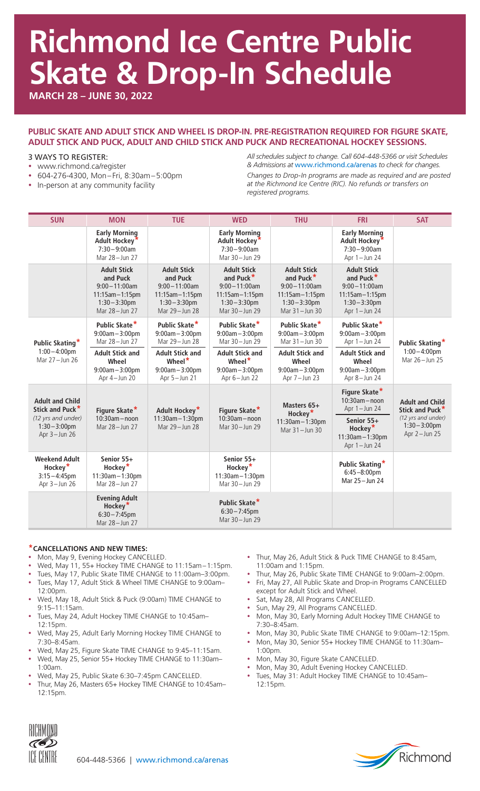# **Richmond Ice Centre Public Skate & Drop-In Schedule**

**MARCH 28 – JUNE 30, 2022**

### **PUBLIC SKATE AND ADULT STICK AND WHEEL IS DROP-IN. PRE-REGISTRATION REQUIRED FOR FIGURE SKATE, ADULT STICK AND PUCK, ADULT AND CHILD STICK AND PUCK AND RECREATIONAL HOCKEY SESSIONS.**

#### 3 WAYS TO REGISTER:

- www.richmond.ca/register
- y 604-276-4300, Mon–Fri, 8:30am–5:00pm
- In-person at any community facility

*All schedules subject to change. Call 604-448-5366 or visit Schedules & Admissions at* www.richmond.ca/arenas *to check for changes.*

*Changes to Drop-In programs are made as required and are posted at the Richmond Ice Centre (RIC). No refunds or transfers on registered programs.*

| <b>SUN</b>                                                                                                      | <b>MON</b>                                                                                                        | <b>TUE</b>                                                                                                     | <b>WED</b>                                                                                                              | <b>THU</b>                                                                                                                  | <b>FRI</b>                                                                                                                   | <b>SAT</b>                                                                                                      |
|-----------------------------------------------------------------------------------------------------------------|-------------------------------------------------------------------------------------------------------------------|----------------------------------------------------------------------------------------------------------------|-------------------------------------------------------------------------------------------------------------------------|-----------------------------------------------------------------------------------------------------------------------------|------------------------------------------------------------------------------------------------------------------------------|-----------------------------------------------------------------------------------------------------------------|
|                                                                                                                 | <b>Early Morning</b><br>Adult Hockey <sup>*</sup><br>$7:30 - 9:00$ am<br>Mar 28-Jun 27                            |                                                                                                                | <b>Early Morning</b><br>Adult Hockey*<br>$7:30 - 9:00$ am<br>Mar 30-Jun 29                                              |                                                                                                                             | <b>Early Morning</b><br>Adult Hockey'<br>$7:30 - 9:00$ am<br>Apr $1 -$ Jun 24                                                |                                                                                                                 |
|                                                                                                                 | <b>Adult Stick</b><br>and Puck<br>$9:00 - 11:00$ am<br>$11:15$ am $-1:15$ pm<br>$1:30 - 3:30$ pm<br>Mar 28-Jun 27 | <b>Adult Stick</b><br>and Puck<br>$9:00 - 11:00$ am<br>$11:15am - 1:15pm$<br>$1:30 - 3:30$ pm<br>Mar 29-Jun 28 | <b>Adult Stick</b><br>and Puck <sup>*</sup><br>$9:00 - 11:00$ am<br>11:15am-1:15pm<br>$1:30 - 3:30$ pm<br>Mar 30-Jun 29 | <b>Adult Stick</b><br>and Puck <sup>*</sup><br>$9:00 - 11:00$ am<br>$11:15am - 1:15pm$<br>$1:30 - 3:30$ pm<br>Mar 31-Jun 30 | <b>Adult Stick</b><br>and Puck <sup>*</sup><br>$9:00 - 11:00$ am<br>$11:15am - 1:15pm$<br>$1:30 - 3:30$ pm<br>Apr 1-Jun 24   |                                                                                                                 |
| Public Skating*<br>$1:00 - 4:00$ pm<br>Mar 27-Jun 26                                                            | Public Skate*<br>$9:00am - 3:00pm$<br>Mar 28-Jun 27                                                               | Public Skate*<br>$9:00am - 3:00pm$<br>Mar 29-Jun 28                                                            | Public Skate*<br>$9:00am - 3:00pm$<br>Mar 30-Jun 29                                                                     | Public Skate*<br>$9:00am - 3:00pm$<br>Mar 31-Jun 30                                                                         | Public Skate*<br>$9:00am - 3:00pm$<br>Apr $1 -$ Jun 24                                                                       | Public Skating*<br>$1:00 - 4:00$ pm<br>Mar 26-Jun 25                                                            |
|                                                                                                                 | <b>Adult Stick and</b><br>Wheel<br>$9:00am - 3:00pm$<br>Apr 4-Jun 20                                              | <b>Adult Stick and</b><br>Wheel <sup>*</sup><br>$9:00am - 3:00pm$<br>Apr 5-Jun 21                              | <b>Adult Stick and</b><br>Wheel $*$<br>$9:00am - 3:00pm$<br>Apr $6 -$ Jun 22                                            | <b>Adult Stick and</b><br>Wheel<br>$9:00am - 3:00pm$<br>Apr 7 - Jun 23                                                      | <b>Adult Stick and</b><br>Wheel<br>$9:00am - 3:00pm$<br>Apr 8-Jun 24                                                         |                                                                                                                 |
| <b>Adult and Child</b><br>Stick and Puck <sup>*</sup><br>(12 yrs and under)<br>$1:30 - 3:00$ pm<br>Apr 3-Jun 26 | Figure Skate*<br>$10:30am - noon$<br>Mar 28-Jun 27                                                                | Adult Hockey*<br>11:30am-1:30pm<br>Mar 29-Jun 28                                                               | Figure Skate*<br>$10:30am - noon$<br>Mar 30-Jun 29                                                                      | Masters 65+<br>Hockey <sup>*</sup><br>11:30am-1:30pm<br>Mar 31-Jun 30                                                       | Figure Skate*<br>$10:30am - noon$<br>Apr $1 -$ Jun 24<br>Senior 55+<br>Hockey <sup>*</sup><br>11:30am-1:30pm<br>Apr 1-Jun 24 | <b>Adult and Child</b><br>Stick and Puck <sup>*</sup><br>(12 yrs and under)<br>$1:30 - 3:00$ pm<br>Apr 2-Jun 25 |
| <b>Weekend Adult</b><br>Hockey <sup>*</sup><br>$3:15 - 4:45$ pm<br>Apr $3 -$ Jun 26                             | Senior 55+<br>Hockey <sup>*</sup><br>11:30am-1:30pm<br>Mar 28-Jun 27                                              |                                                                                                                | Senior 55+<br>Hockey <sup>*</sup><br>11:30am-1:30pm<br>Mar 30-Jun 29                                                    |                                                                                                                             | Public Skating*<br>$6:45 - 8:00$ pm<br>Mar 25 - Jun 24                                                                       |                                                                                                                 |
|                                                                                                                 | <b>Evening Adult</b><br>Hockey <sup>*</sup><br>$6:30 - 7:45$ pm<br>Mar 28-Jun 27                                  |                                                                                                                | Public Skate*<br>$6:30 - 7:45$ pm<br>Mar 30-Jun 29                                                                      |                                                                                                                             |                                                                                                                              |                                                                                                                 |

#### **\*CANCELLATIONS AND NEW TIMES:**

- Mon, May 9, Evening Hockey CANCELLED.
- Wed, May 11, 55+ Hockey TIME CHANGE to 11:15am-1:15pm.
- Tues, May 17, Public Skate TIME CHANGE to 11:00am-3:00pm.
- Tues, May 17, Adult Stick & Wheel TIME CHANGE to 9:00am-12:00pm.
- y Wed, May 18, Adult Stick & Puck (9:00am) TIME CHANGE to 9:15–11:15am.
- Tues, May 24, Adult Hockey TIME CHANGE to 10:45am-12:15pm.
- Wed, May 25, Adult Early Morning Hockey TIME CHANGE to 7:30–8:45am.
- Wed, May 25, Figure Skate TIME CHANGE to 9:45-11:15am.
- Wed, May 25, Senior 55+ Hockey TIME CHANGE to 11:30am-1:00am.
- Wed, May 25, Public Skate 6:30-7:45pm CANCELLED.
- Thur, May 26, Masters 65+ Hockey TIME CHANGE to 10:45am-12:15pm.
- Thur, May 26, Adult Stick & Puck TIME CHANGE to 8:45am, 11:00am and 1:15pm.
- Thur, May 26, Public Skate TIME CHANGE to 9:00am-2:00pm. • Fri, May 27, All Public Skate and Drop-in Programs CANCELLED
- except for Adult Stick and Wheel.
- Sat, May 28, All Programs CANCELLED.
- Sun, May 29, All Programs CANCELLED.
- Mon, May 30, Early Morning Adult Hockey TIME CHANGE to 7:30–8:45am.
- Mon, May 30, Public Skate TIME CHANGE to 9:00am-12:15pm.
- Mon, May 30, Senior 55+ Hockey TIME CHANGE to 11:30am-1:00pm.
- Mon, May 30, Figure Skate CANCELLED.
- Mon, May 30, Adult Evening Hockey CANCELLED.
- Tues, May 31: Adult Hockey TIME CHANGE to 10:45am-12:15pm.